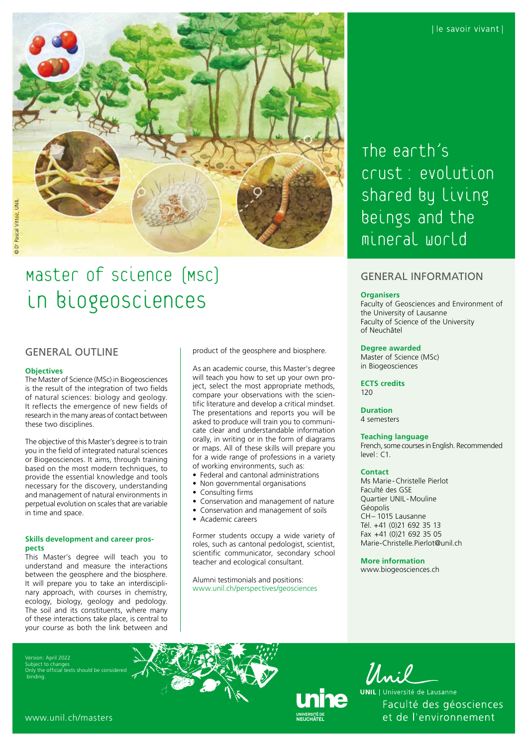

# Master of Science (MSc) in biogeosciences

### GENERAL OUTLINE

### **Objectives**

The Master of Science (MSc) in Biogeosciences is the result of the integration of two fields of natural sciences: biology and geology. It reflects the emergence of new fields of research in the many areas of contact between these two disciplines.

The objective of this Master's degree is to train you in the field of integrated natural sciences or Biogeosciences. It aims, through training based on the most modern techniques, to provide the essential knowledge and tools necessary for the discovery, understanding and management of natural environments in perpetual evolution on scales that are variable in time and space.

### **Skills development and career prospects**

This Master's degree will teach you to understand and measure the interactions between the geosphere and the biosphere. It will prepare you to take an interdisciplinary approach, with courses in chemistry, ecology, biology, geology and pedology. The soil and its constituents, where many of these interactions take place, is central to your course as both the link between and product of the geosphere and biosphere.

As an academic course, this Master's degree will teach you how to set up your own project, select the most appropriate methods, compare your observations with the scientific literature and develop a critical mindset. The presentations and reports you will be asked to produce will train you to communicate clear and understandable information orally, in writing or in the form of diagrams or maps. All of these skills will prepare you for a wide range of professions in a variety of working environments, such as:

- Federal and cantonal administrations
- Non governmental organisations
- Consulting firms
- Conservation and management of nature
	- Conservation and management of soils
- Academic careers

Former students occupy a wide variety of roles, such as cantonal pedologist, scientist, scientific communicator, secondary school teacher and ecological consultant.

Alumni testimonials and positions: [www.unil.ch/perspectives/geosciences](http://www.unil.ch/perspectives/geosciences) The earth's crust: evolution shared by Living beings and the mineral world

## GENERAL INFORMATION

### **Organisers**

Faculty of Geosciences and Environment of the University of Lausanne Faculty of Science of the University of Neuchâtel

### **Degree awarded**

Master of Science (MSc) in Biogeosciences

**ECTS credits** 120

# **Duration**

4 semesters

### **Teaching language**

French, some courses in English. Recommended level: C1.

### **Contact**

Ms Marie-Christelle Pierlot Faculté des GSE Quartier UNIL -Mouline Géopolis CH– 1015 Lausanne Tél. +41 (0)21 692 35 13 Fax +41 (0)21 692 35 05 [Marie-Christelle.Pierlot@unil.ch](mailto:Marie-Christelle.Pierlot@unil.ch)

**More information**

[www.biogeosciences.ch](http://www.biogeosciences.ch)

Version: April 2022 Subject to change the official texts should be consider binding.

Unil

**UNIL** | Université de Lausanne Faculté des géosciences et de l'environnement

[www.unil.ch/masters](http://www.unil.ch/masters)